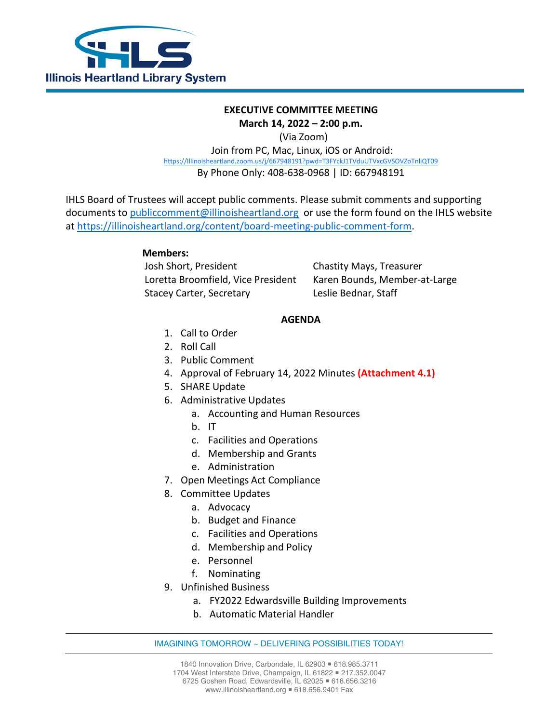

## **EXECUTIVE COMMITTEE MEETING**

**March 14, 2022 – 2:00 p.m.**

(Via Zoom)

Join from PC, Mac, Linux, iOS or Android: [https://Illinoisheartland.zoom.us/j/667948191?pwd=T3FYckJ1TVduUTVxcGVSOVZoTnliQT09](https://illinoisheartland.zoom.us/j/667948191?pwd=T3FYckJ1TVduUTVxcGVSOVZoTnliQT09) By Phone Only: 408-638-0968 | ID: 667948191

IHLS Board of Trustees will accept public comments. Please submit comments and supporting documents to [publiccomment@illinoisheartland.org](mailto:publiccomment@illinoisheartland.org) or use the form found on the IHLS website at [https://illinoisheartland.org/content/board-meeting-public-comment-form.](https://illinoisheartland.org/content/board-meeting-public-comment-form)

## **Members:**

Josh Short, President Chastity Mays, Treasurer Loretta Broomfield, Vice President Karen Bounds, Member-at-Large Stacey Carter, Secretary Leslie Bednar, Staff

## **AGENDA**

- 1. Call to Order
- 2. Roll Call
- 3. Public Comment
- 4. Approval of February 14, 2022 Minutes **(Attachment 4.1)**
- 5. SHARE Update
- 6. Administrative Updates
	- a. Accounting and Human Resources
	- b. IT
	- c. Facilities and Operations
	- d. Membership and Grants
	- e. Administration
- 7. Open Meetings Act Compliance
- 8. Committee Updates
	- a. Advocacy
	- b. Budget and Finance
	- c. Facilities and Operations
	- d. Membership and Policy
	- e. Personnel
	- f. Nominating
- 9. Unfinished Business
	- a. FY2022 Edwardsville Building Improvements
	- b. Automatic Material Handler

## IMAGINING TOMORROW ~ DELIVERING POSSIBILITIES TODAY!